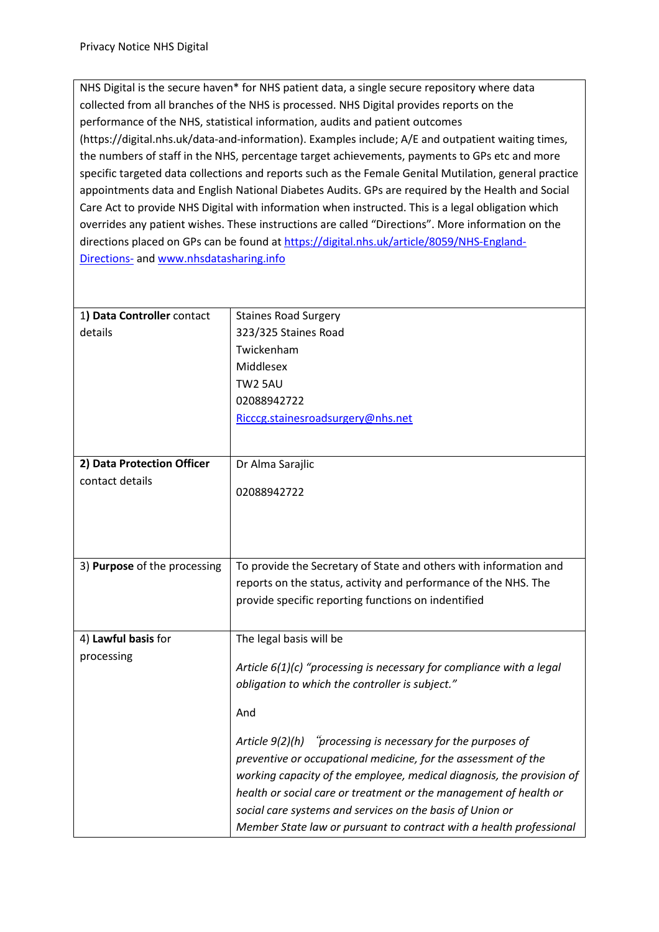NHS Digital is the secure haven\* for NHS patient data, a single secure repository where data collected from all branches of the NHS is processed. NHS Digital provides reports on the performance of the NHS, statistical information, audits and patient outcomes (https://digital.nhs.uk/data-and-information). Examples include; A/E and outpatient waiting times, the numbers of staff in the NHS, percentage target achievements, payments to GPs etc and more specific targeted data collections and reports such as the Female Genital Mutilation, general practice appointments data and English National Diabetes Audits. GPs are required by the Health and Social Care Act to provide NHS Digital with information when instructed. This is a legal obligation which overrides any patient wishes. These instructions are called "Directions". More information on the directions placed on GPs can be found at https://digital.nhs.uk/article/8059/NHS-England-Directions- and www.nhsdatasharing.info

| 1) Data Controller contact   | <b>Staines Road Surgery</b>                                            |
|------------------------------|------------------------------------------------------------------------|
| details                      | 323/325 Staines Road                                                   |
|                              | Twickenham                                                             |
|                              | Middlesex                                                              |
|                              | TW2 5AU                                                                |
|                              | 02088942722                                                            |
|                              | Ricccg.stainesroadsurgery@nhs.net                                      |
|                              |                                                                        |
|                              |                                                                        |
| 2) Data Protection Officer   | Dr Alma Sarajlic                                                       |
| contact details              | 02088942722                                                            |
|                              |                                                                        |
|                              |                                                                        |
|                              |                                                                        |
| 3) Purpose of the processing | To provide the Secretary of State and others with information and      |
|                              | reports on the status, activity and performance of the NHS. The        |
|                              | provide specific reporting functions on indentified                    |
|                              |                                                                        |
| 4) Lawful basis for          | The legal basis will be                                                |
| processing                   |                                                                        |
|                              | Article $6(1)(c)$ "processing is necessary for compliance with a legal |
|                              | obligation to which the controller is subject."                        |
|                              |                                                                        |
|                              | And                                                                    |
|                              | Article $9(2)(h)$ "processing is necessary for the purposes of         |
|                              | preventive or occupational medicine, for the assessment of the         |
|                              | working capacity of the employee, medical diagnosis, the provision of  |
|                              | health or social care or treatment or the management of health or      |
|                              | social care systems and services on the basis of Union or              |
|                              | Member State law or pursuant to contract with a health professional    |
|                              |                                                                        |